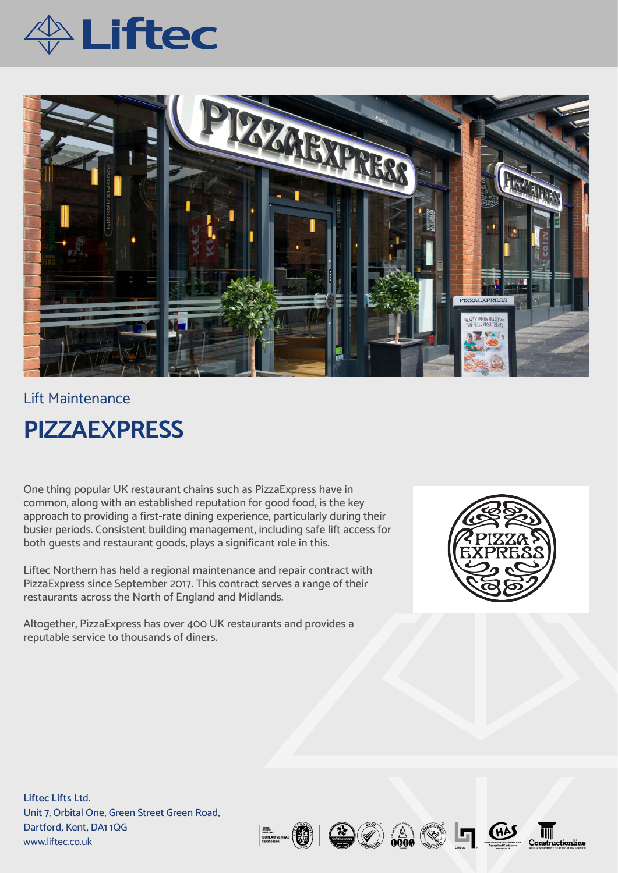



## Lift Maintenance **PIZZAEXPRESS**

One thing popular UK restaurant chains such as PizzaExpress have in common, along with an established reputation for good food, is the key approach to providing a first-rate dining experience, particularly during their busier periods. Consistent building management, including safe lift access for both guests and restaurant goods, plays a significant role in this.

Liftec Northern has held a regional maintenance and repair contract with PizzaExpress since September 2017. This contract serves a range of their restaurants across the North of England and Midlands.

Altogether, PizzaExpress has over 400 UK restaurants and provides a reputable service to thousands of diners.



**Liftec Lifts Lt**d. Unit 7, Orbital One, Green Street Green Road, Dartford, Kent, DA1 1QG www.liftec.co.uk